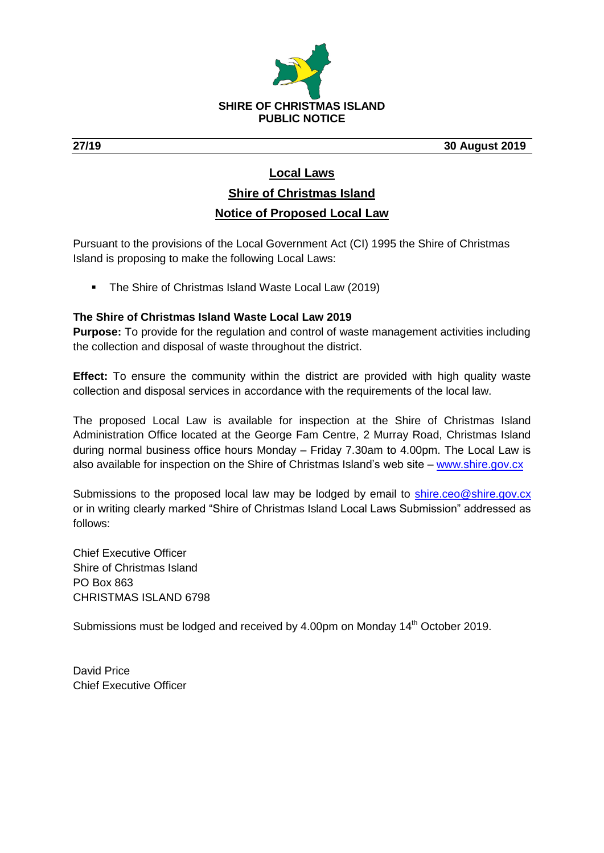

**27/19 30 August 2019**

# **Local Laws**

# **Shire of Christmas Island Notice of Proposed Local Law**

Pursuant to the provisions of the Local Government Act (CI) 1995 the Shire of Christmas Island is proposing to make the following Local Laws:

• The Shire of Christmas Island Waste Local Law (2019)

## **The Shire of Christmas Island Waste Local Law 2019**

**Purpose:** To provide for the regulation and control of waste management activities including the collection and disposal of waste throughout the district.

**Effect:** To ensure the community within the district are provided with high quality waste collection and disposal services in accordance with the requirements of the local law.

The proposed Local Law is available for inspection at the Shire of Christmas Island Administration Office located at the George Fam Centre, 2 Murray Road, Christmas Island during normal business office hours Monday – Friday 7.30am to 4.00pm. The Local Law is also available for inspection on the Shire of Christmas Island's web site – [www.shire.gov.cx](http://www.shire.gov.cx/)

Submissions to the proposed local law may be lodged by email to [shire.ceo@shire.gov.cx](mailto:shire.ceo@shire.gov.cx) or in writing clearly marked "Shire of Christmas Island Local Laws Submission" addressed as follows:

Chief Executive Officer Shire of Christmas Island PO Box 863 CHRISTMAS ISLAND 6798

Submissions must be lodged and received by 4.00pm on Monday 14<sup>th</sup> October 2019.

David Price Chief Executive Officer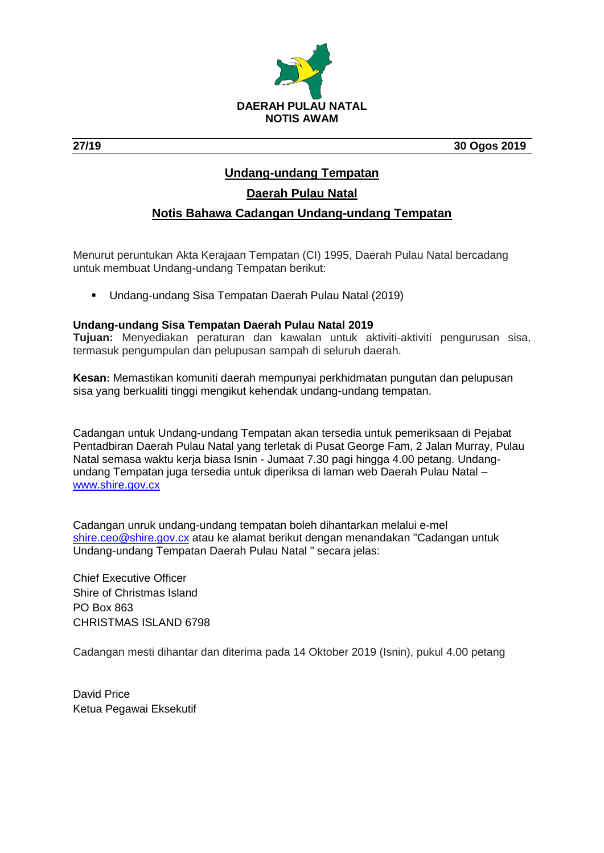

**27/19 30 Ogos 2019**

## **Undang-undang Tempatan**

# **Daerah Pulau Natal**

### **Notis Bahawa Cadangan Undang-undang Tempatan**

Menurut peruntukan Akta Kerajaan Tempatan (CI) 1995, Daerah Pulau Natal bercadang untuk membuat Undang-undang Tempatan berikut:

Undang-undang Sisa Tempatan Daerah Pulau Natal (2019)

#### **Undang-undang Sisa Tempatan Daerah Pulau Natal 2019**

**Tujuan:** Menyediakan peraturan dan kawalan untuk aktiviti-aktiviti pengurusan sisa, termasuk pengumpulan dan pelupusan sampah di seluruh daerah.

**Kesan:** Memastikan komuniti daerah mempunyai perkhidmatan pungutan dan pelupusan sisa yang berkualiti tinggi mengikut kehendak undang-undang tempatan.

Cadangan untuk Undang-undang Tempatan akan tersedia untuk pemeriksaan di Pejabat Pentadbiran Daerah Pulau Natal yang terletak di Pusat George Fam, 2 Jalan Murray, Pulau Natal semasa waktu kerja biasa Isnin - Jumaat 7.30 pagi hingga 4.00 petang. Undangundang Tempatan juga tersedia untuk diperiksa di laman web Daerah Pulau Natal – [www.shire.gov.cx](http://www.shire.gov.cx/)

Cadangan unruk undang-undang tempatan boleh dihantarkan melalui e-mel [shire.ceo@shire.gov.cx](mailto:shire.ceo@shire.gov.cx) atau ke alamat berikut dengan menandakan "Cadangan untuk Undang-undang Tempatan Daerah Pulau Natal " secara jelas:

Chief Executive Officer Shire of Christmas Island PO Box 863 CHRISTMAS ISLAND 6798

Cadangan mesti dihantar dan diterima pada 14 Oktober 2019 (Isnin), pukul 4.00 petang

David Price Ketua Pegawai Eksekutif